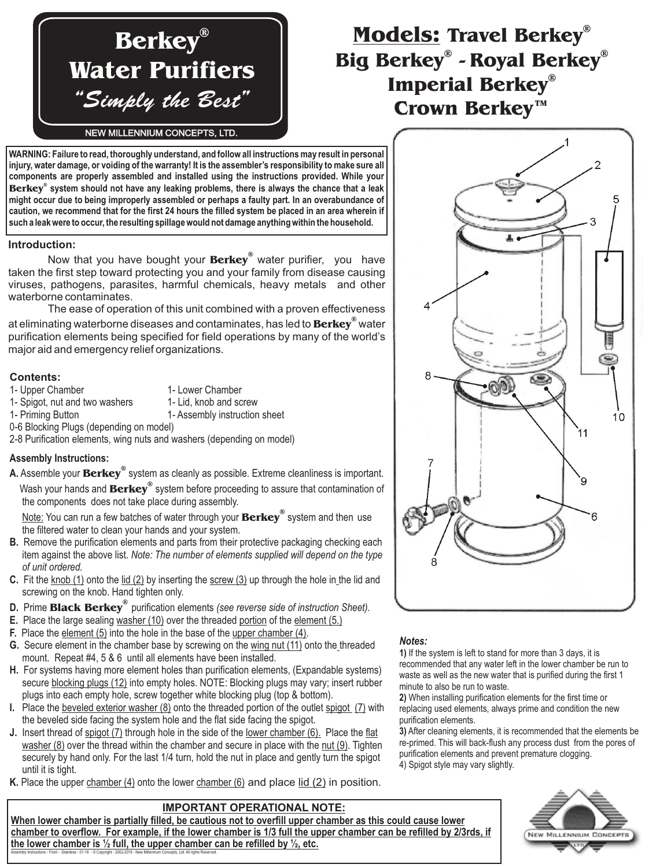# **Berkey ® Water Purifiers** "Simply the Best"

## **Models: Travel Berkey ®** Big Berkey® - Royal Berkey® **Imperial Berkey ® Crown Berkey™**

#### NEW MILLENNIUM CONCEPTS, LTD.

**WARNING: Failure to read, thoroughly understand, and follow all instructions may result in personal injury, water damage, or voiding of the warranty! It is the assembler's responsibility to make sure all components are properly assembled and installed using the instructions provided. While your** Berkey® system should not have any leaking problems, there is always the chance that a leak **might occur due to being improperly assembled or perhaps a faulty part. In an overabundance of caution, we recommend that for the first 24 hours the filled system be placed in an area wherein if such a leak were to occur, the resulting spillage would not damage anything within the household.**

#### **Introduction:**

Now that you have bought your **Berkey**® water purifier, you have taken the first step toward protecting you and your family from disease causing viruses, pathogens, parasites, harmful chemicals, heavy metals and other waterborne contaminates.

at eliminating waterborne diseases and contaminates, has led to **Berkey**® water purification elements being specified for field operations by many of the world's The ease of operation of this unit combined with a proven effectiveness major aid and emergency relief organizations.

#### **Contents:**

- 1- Upper Chamber 1- Lower Chamber
- 1- Spigot, nut and two washers
- 
- 1- Lid, knob and screw
- 1- Priming Button 1- Assembly instruction sheet
- 0-6 Blocking Plugs (depending on model)

2-8 Purification elements, wing nuts and washers (depending on model)

#### **Assembly Instructions:**

Wash your hands and **Berkey<sup>®</sup> system before proceeding to assure that contamination of A.** Assemble your Berkey® system as cleanly as possible. Extreme cleanliness is important. the components does not take place during assembly.

Note: You can run a few batches of water through your **Berkey**® system and then use the filtered water to clean your hands and your system.

- **B.** Remove the purification elements and parts from their protective packaging checking each item against the above list. *Note: The number of elements supplied will depend on the type of unit ordered.*
- **C.** Fit the knob (1) onto the lid (2) by inserting the screw (3) up through the hole in the lid and screwing on the knob. Hand tighten only.
- **D.** Prime **Black Berkey**<sup>®</sup> purification elements (see reverse side of instruction Sheet).
- E. Place the large sealing washer (10) over the threaded portion of the element (5.)
- **F.** Place the element (5) into the hole in the base of the upper chamber (4).
- G. Secure element in the chamber base by screwing on the wing nut (11) onto the threaded mount. Repeat #4,5&6 until all elements have been installed.
- For systems having more element holes than purification elements, (Expandable systems) **H.** secure blocking plugs (12) into empty holes. NOTE: Blocking plugs may vary; insert rubber plugs into each empty hole, screw together white blocking plug (top & bottom).
- I. Place the beveled exterior washer (8) onto the threaded portion of the outlet spigot (7) with the beveled side facing the system hole and the flat side facing the spigot.
- J. Insert thread of spigot (7) through hole in the side of the <u>lower chamber (6).</u> Place the flat <u>washer (8)</u> over the thread within the chamber and secure in place with the <u>nut (9</u>). Tighten securely by hand only. For the last 1/4 turn, hold the nut in place and gently turn the spigot until it is tight.
- K. Place the upper chamber (4) onto the lower chamber (6) and place lid (2) in position.

#### **IMPORTANT OPERATIONAL NOTE:**

**When lower chamber is partially filled, be cautious not to overfill upper chamber as this could cause lower chamber to overflow. For example, if the lower chamber is 1/3 full the upper chamber can be refilled by 2/3rds, if the lower chamber is ½ full, the upper chamber can be refilled by ½, etc.** Assembly Instructions - Front - -Stainless - 01-18 - © Copyright - 2002-2018 - New Millennium Concepts, Ltd. All rights Reserved.



#### *Notes:*

**1)** If the system is left to stand for more than 3 days, it is recommended that any water left in the lower chamber be run to waste as well as the new water that is purified during the first 1 minute to also be run to waste.

**2)** When installing purification elements for the first time or replacing used elements, always prime and condition the new purification elements.

**3)** After cleaning elements, it is recommended that the elements be re-primed. This will back-flush any process dust from the pores of purification elements and prevent premature clogging. 4) Spigot style may vary slightly.